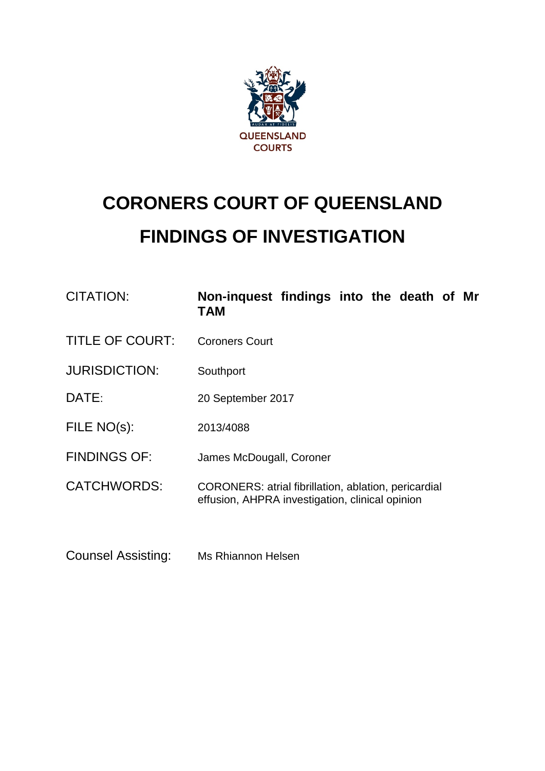

# **CORONERS COURT OF QUEENSLAND FINDINGS OF INVESTIGATION**

| CITATION:              | Non-inquest findings into the death of Mr<br>TAM                                                               |
|------------------------|----------------------------------------------------------------------------------------------------------------|
| <b>TITLE OF COURT:</b> | <b>Coroners Court</b>                                                                                          |
| <b>JURISDICTION:</b>   | Southport                                                                                                      |
| DATE:                  | 20 September 2017                                                                                              |
| FILE NO(s):            | 2013/4088                                                                                                      |
| <b>FINDINGS OF:</b>    | James McDougall, Coroner                                                                                       |
| <b>CATCHWORDS:</b>     | <b>CORONERS: atrial fibrillation, ablation, pericardial</b><br>effusion, AHPRA investigation, clinical opinion |
|                        |                                                                                                                |

Counsel Assisting: Ms Rhiannon Helsen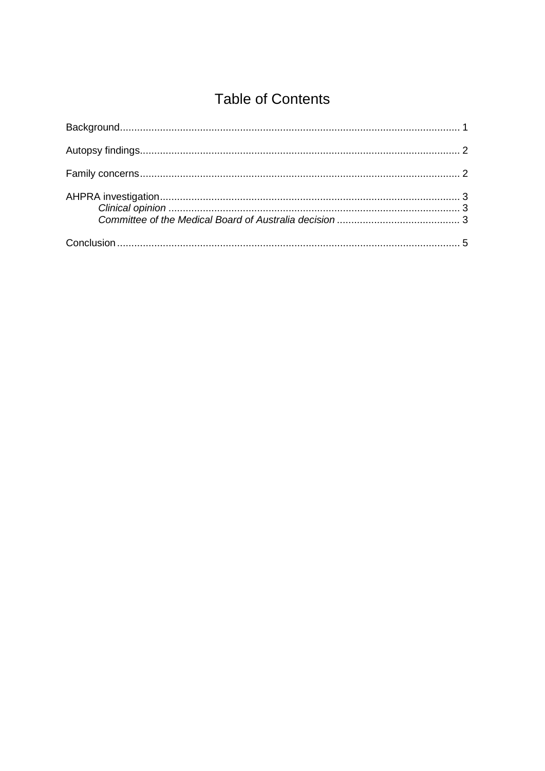# **Table of Contents**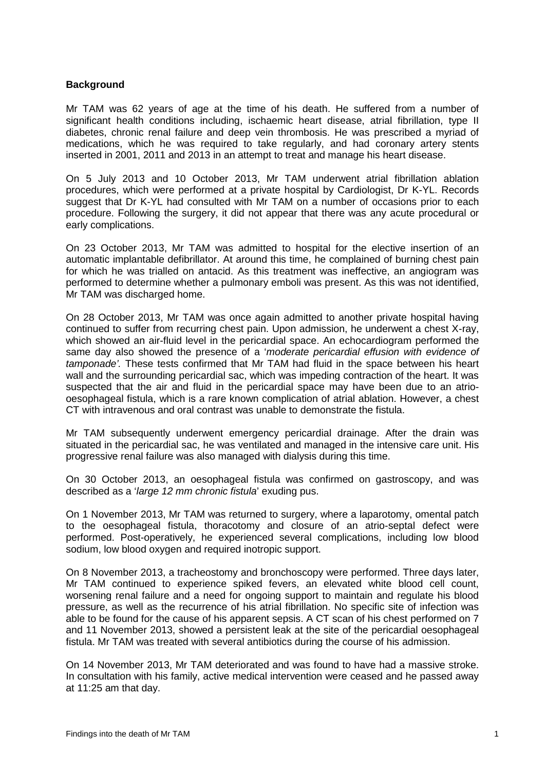# <span id="page-2-0"></span>**Background**

Mr TAM was 62 years of age at the time of his death. He suffered from a number of significant health conditions including, ischaemic heart disease, atrial fibrillation, type II diabetes, chronic renal failure and deep vein thrombosis. He was prescribed a myriad of medications, which he was required to take regularly, and had coronary artery stents inserted in 2001, 2011 and 2013 in an attempt to treat and manage his heart disease.

On 5 July 2013 and 10 October 2013, Mr TAM underwent atrial fibrillation ablation procedures, which were performed at a private hospital by Cardiologist, Dr K-YL. Records suggest that Dr K-YL had consulted with Mr TAM on a number of occasions prior to each procedure. Following the surgery, it did not appear that there was any acute procedural or early complications.

On 23 October 2013, Mr TAM was admitted to hospital for the elective insertion of an automatic implantable defibrillator. At around this time, he complained of burning chest pain for which he was trialled on antacid. As this treatment was ineffective, an angiogram was performed to determine whether a pulmonary emboli was present. As this was not identified, Mr TAM was discharged home.

On 28 October 2013, Mr TAM was once again admitted to another private hospital having continued to suffer from recurring chest pain. Upon admission, he underwent a chest X-ray, which showed an air-fluid level in the pericardial space. An echocardiogram performed the same day also showed the presence of a '*moderate pericardial effusion with evidence of tamponade'.* These tests confirmed that Mr TAM had fluid in the space between his heart wall and the surrounding pericardial sac, which was impeding contraction of the heart. It was suspected that the air and fluid in the pericardial space may have been due to an atriooesophageal fistula, which is a rare known complication of atrial ablation. However, a chest CT with intravenous and oral contrast was unable to demonstrate the fistula.

Mr TAM subsequently underwent emergency pericardial drainage. After the drain was situated in the pericardial sac, he was ventilated and managed in the intensive care unit. His progressive renal failure was also managed with dialysis during this time.

On 30 October 2013, an oesophageal fistula was confirmed on gastroscopy, and was described as a '*large 12 mm chronic fistula*' exuding pus.

On 1 November 2013, Mr TAM was returned to surgery, where a laparotomy, omental patch to the oesophageal fistula, thoracotomy and closure of an atrio-septal defect were performed. Post-operatively, he experienced several complications, including low blood sodium, low blood oxygen and required inotropic support.

On 8 November 2013, a tracheostomy and bronchoscopy were performed. Three days later, Mr TAM continued to experience spiked fevers, an elevated white blood cell count, worsening renal failure and a need for ongoing support to maintain and regulate his blood pressure, as well as the recurrence of his atrial fibrillation. No specific site of infection was able to be found for the cause of his apparent sepsis. A CT scan of his chest performed on 7 and 11 November 2013, showed a persistent leak at the site of the pericardial oesophageal fistula. Mr TAM was treated with several antibiotics during the course of his admission.

On 14 November 2013, Mr TAM deteriorated and was found to have had a massive stroke. In consultation with his family, active medical intervention were ceased and he passed away at 11:25 am that day.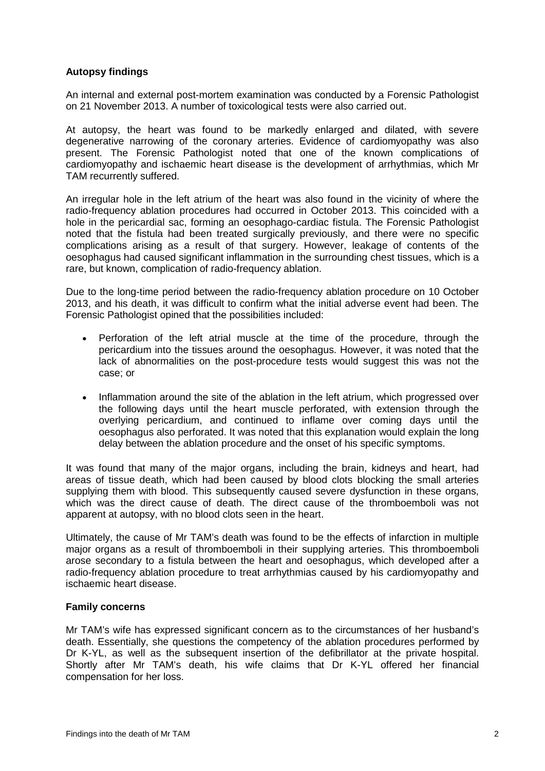# <span id="page-3-0"></span>**Autopsy findings**

An internal and external post-mortem examination was conducted by a Forensic Pathologist on 21 November 2013. A number of toxicological tests were also carried out.

At autopsy, the heart was found to be markedly enlarged and dilated, with severe degenerative narrowing of the coronary arteries. Evidence of cardiomyopathy was also present. The Forensic Pathologist noted that one of the known complications of cardiomyopathy and ischaemic heart disease is the development of arrhythmias, which Mr TAM recurrently suffered.

An irregular hole in the left atrium of the heart was also found in the vicinity of where the radio-frequency ablation procedures had occurred in October 2013. This coincided with a hole in the pericardial sac, forming an oesophago-cardiac fistula. The Forensic Pathologist noted that the fistula had been treated surgically previously, and there were no specific complications arising as a result of that surgery. However, leakage of contents of the oesophagus had caused significant inflammation in the surrounding chest tissues, which is a rare, but known, complication of radio-frequency ablation.

Due to the long-time period between the radio-frequency ablation procedure on 10 October 2013, and his death, it was difficult to confirm what the initial adverse event had been. The Forensic Pathologist opined that the possibilities included:

- Perforation of the left atrial muscle at the time of the procedure, through the pericardium into the tissues around the oesophagus. However, it was noted that the lack of abnormalities on the post-procedure tests would suggest this was not the case; or
- Inflammation around the site of the ablation in the left atrium, which progressed over the following days until the heart muscle perforated, with extension through the overlying pericardium, and continued to inflame over coming days until the oesophagus also perforated. It was noted that this explanation would explain the long delay between the ablation procedure and the onset of his specific symptoms.

It was found that many of the major organs, including the brain, kidneys and heart, had areas of tissue death, which had been caused by blood clots blocking the small arteries supplying them with blood. This subsequently caused severe dysfunction in these organs, which was the direct cause of death. The direct cause of the thromboemboli was not apparent at autopsy, with no blood clots seen in the heart.

Ultimately, the cause of Mr TAM's death was found to be the effects of infarction in multiple major organs as a result of thromboemboli in their supplying arteries. This thromboemboli arose secondary to a fistula between the heart and oesophagus, which developed after a radio-frequency ablation procedure to treat arrhythmias caused by his cardiomyopathy and ischaemic heart disease.

# <span id="page-3-1"></span>**Family concerns**

Mr TAM's wife has expressed significant concern as to the circumstances of her husband's death. Essentially, she questions the competency of the ablation procedures performed by Dr K-YL, as well as the subsequent insertion of the defibrillator at the private hospital. Shortly after Mr TAM's death, his wife claims that Dr K-YL offered her financial compensation for her loss.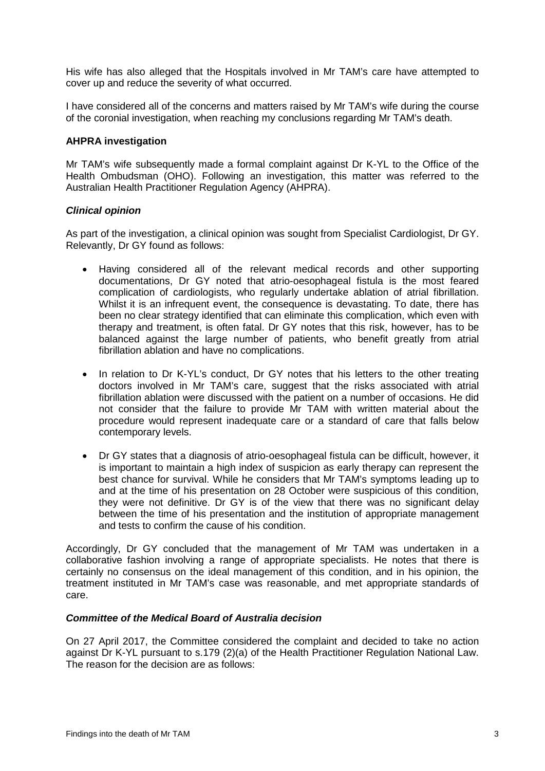His wife has also alleged that the Hospitals involved in Mr TAM's care have attempted to cover up and reduce the severity of what occurred.

I have considered all of the concerns and matters raised by Mr TAM's wife during the course of the coronial investigation, when reaching my conclusions regarding Mr TAM's death.

#### <span id="page-4-0"></span>**AHPRA investigation**

Mr TAM's wife subsequently made a formal complaint against Dr K-YL to the Office of the Health Ombudsman (OHO). Following an investigation, this matter was referred to the Australian Health Practitioner Regulation Agency (AHPRA).

## <span id="page-4-1"></span>*Clinical opinion*

As part of the investigation, a clinical opinion was sought from Specialist Cardiologist, Dr GY. Relevantly, Dr GY found as follows:

- Having considered all of the relevant medical records and other supporting documentations, Dr GY noted that atrio-oesophageal fistula is the most feared complication of cardiologists, who regularly undertake ablation of atrial fibrillation. Whilst it is an infrequent event, the consequence is devastating. To date, there has been no clear strategy identified that can eliminate this complication, which even with therapy and treatment, is often fatal. Dr GY notes that this risk, however, has to be balanced against the large number of patients, who benefit greatly from atrial fibrillation ablation and have no complications.
- In relation to Dr K-YL's conduct, Dr GY notes that his letters to the other treating doctors involved in Mr TAM's care, suggest that the risks associated with atrial fibrillation ablation were discussed with the patient on a number of occasions. He did not consider that the failure to provide Mr TAM with written material about the procedure would represent inadequate care or a standard of care that falls below contemporary levels.
- Dr GY states that a diagnosis of atrio-oesophageal fistula can be difficult, however, it is important to maintain a high index of suspicion as early therapy can represent the best chance for survival. While he considers that Mr TAM's symptoms leading up to and at the time of his presentation on 28 October were suspicious of this condition, they were not definitive. Dr GY is of the view that there was no significant delay between the time of his presentation and the institution of appropriate management and tests to confirm the cause of his condition.

Accordingly, Dr GY concluded that the management of Mr TAM was undertaken in a collaborative fashion involving a range of appropriate specialists. He notes that there is certainly no consensus on the ideal management of this condition, and in his opinion, the treatment instituted in Mr TAM's case was reasonable, and met appropriate standards of care.

## <span id="page-4-2"></span>*Committee of the Medical Board of Australia decision*

On 27 April 2017, the Committee considered the complaint and decided to take no action against Dr K-YL pursuant to s.179 (2)(a) of the Health Practitioner Regulation National Law. The reason for the decision are as follows: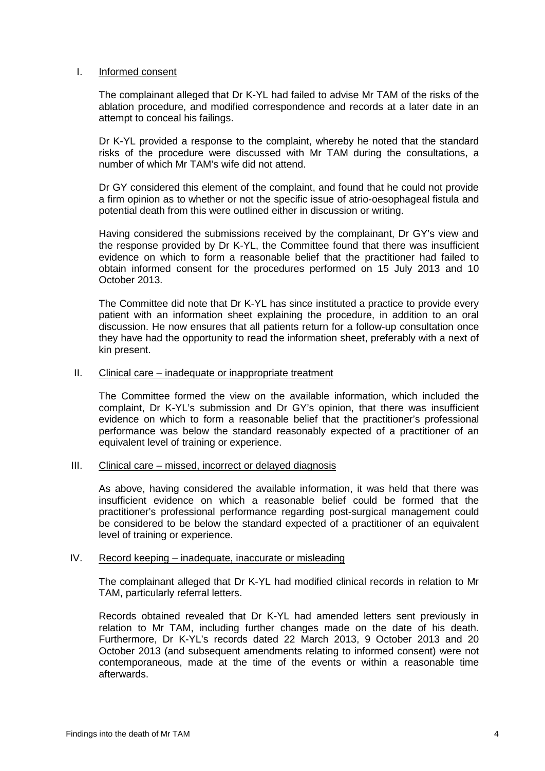#### I. Informed consent

The complainant alleged that Dr K-YL had failed to advise Mr TAM of the risks of the ablation procedure, and modified correspondence and records at a later date in an attempt to conceal his failings.

Dr K-YL provided a response to the complaint, whereby he noted that the standard risks of the procedure were discussed with Mr TAM during the consultations, a number of which Mr TAM's wife did not attend.

Dr GY considered this element of the complaint, and found that he could not provide a firm opinion as to whether or not the specific issue of atrio-oesophageal fistula and potential death from this were outlined either in discussion or writing.

Having considered the submissions received by the complainant, Dr GY's view and the response provided by Dr K-YL, the Committee found that there was insufficient evidence on which to form a reasonable belief that the practitioner had failed to obtain informed consent for the procedures performed on 15 July 2013 and 10 October 2013.

The Committee did note that Dr K-YL has since instituted a practice to provide every patient with an information sheet explaining the procedure, in addition to an oral discussion. He now ensures that all patients return for a follow-up consultation once they have had the opportunity to read the information sheet, preferably with a next of kin present.

#### II. Clinical care – inadequate or inappropriate treatment

The Committee formed the view on the available information, which included the complaint, Dr K-YL's submission and Dr GY's opinion, that there was insufficient evidence on which to form a reasonable belief that the practitioner's professional performance was below the standard reasonably expected of a practitioner of an equivalent level of training or experience.

#### III. Clinical care – missed, incorrect or delayed diagnosis

As above, having considered the available information, it was held that there was insufficient evidence on which a reasonable belief could be formed that the practitioner's professional performance regarding post-surgical management could be considered to be below the standard expected of a practitioner of an equivalent level of training or experience.

#### IV. Record keeping – inadequate, inaccurate or misleading

The complainant alleged that Dr K-YL had modified clinical records in relation to Mr TAM, particularly referral letters.

Records obtained revealed that Dr K-YL had amended letters sent previously in relation to Mr TAM, including further changes made on the date of his death. Furthermore, Dr K-YL's records dated 22 March 2013, 9 October 2013 and 20 October 2013 (and subsequent amendments relating to informed consent) were not contemporaneous, made at the time of the events or within a reasonable time afterwards.